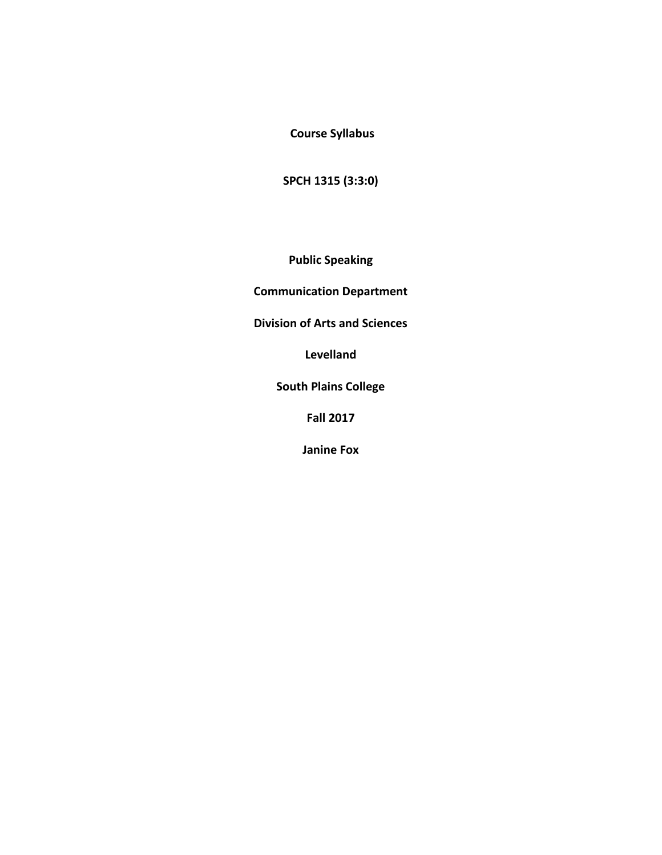**Course Syllabus** 

**SPCH 1315 (3:3:0)** 

**Public Speaking**

**Communication Department** 

**Division of Arts and Sciences** 

**Levelland**

**South Plains College** 

**Fall 2017**

**Janine Fox**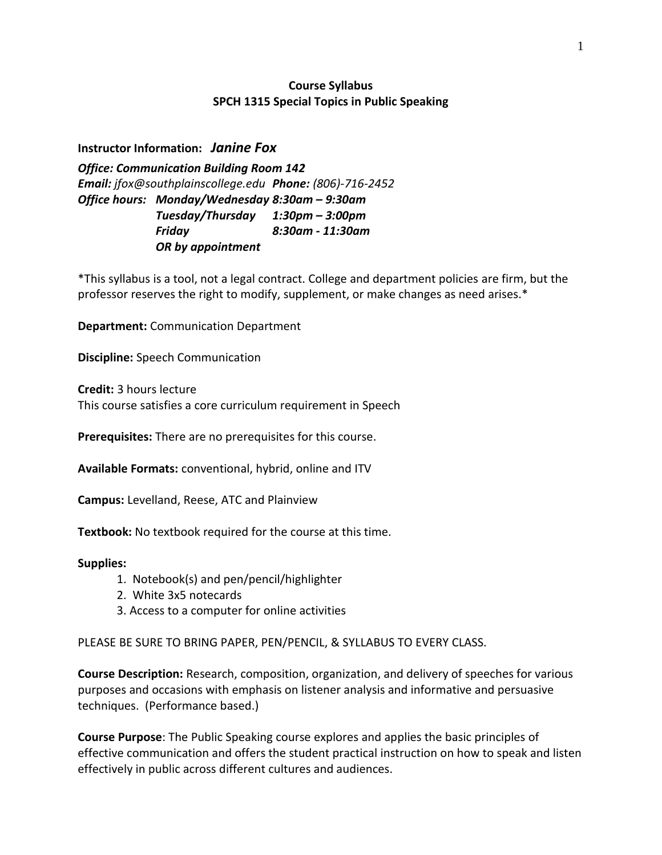## **Course Syllabus SPCH 1315 Special Topics in Public Speaking**

**Instructor Information:** *Janine Fox*

*Office: Communication Building Room 142 Email: jfox@southplainscollege.edu Phone: (806)-716-2452 Office hours: Monday/Wednesday 8:30am – 9:30am Tuesday/Thursday 1:30pm – 3:00pm Friday 8:30am - 11:30am OR by appointment*

\*This syllabus is a tool, not a legal contract. College and department policies are firm, but the professor reserves the right to modify, supplement, or make changes as need arises.\*

**Department:** Communication Department

**Discipline:** Speech Communication

**Credit:** 3 hours lecture This course satisfies a core curriculum requirement in Speech

**Prerequisites:** There are no prerequisites for this course.

**Available Formats:** conventional, hybrid, online and ITV

**Campus:** Levelland, Reese, ATC and Plainview

**Textbook:** No textbook required for the course at this time.

#### **Supplies:**

- 1. Notebook(s) and pen/pencil/highlighter
- 2. White 3x5 notecards
- 3. Access to a computer for online activities

PLEASE BE SURE TO BRING PAPER, PEN/PENCIL, & SYLLABUS TO EVERY CLASS.

**Course Description:** Research, composition, organization, and delivery of speeches for various purposes and occasions with emphasis on listener analysis and informative and persuasive techniques. (Performance based.)

**Course Purpose**: The Public Speaking course explores and applies the basic principles of effective communication and offers the student practical instruction on how to speak and listen effectively in public across different cultures and audiences.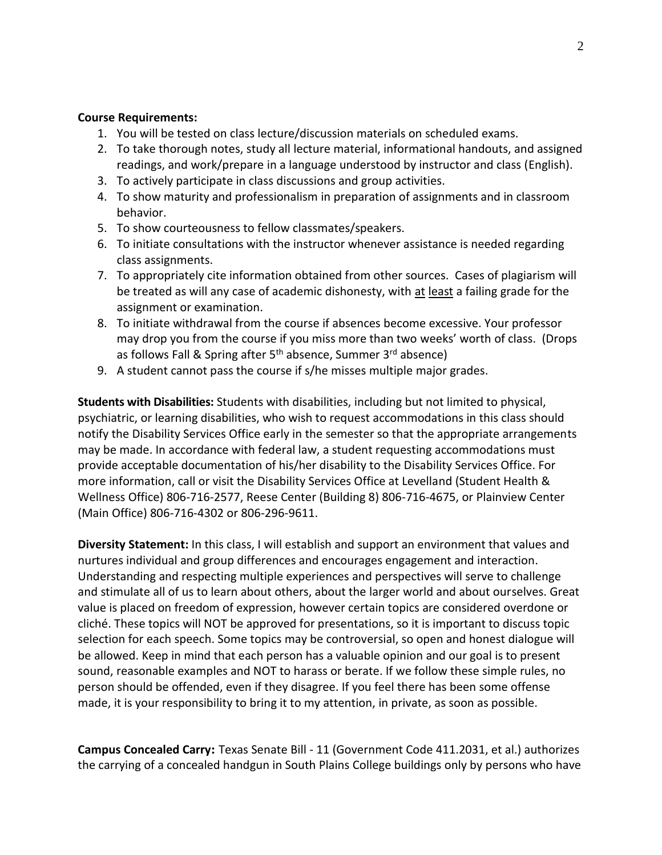#### **Course Requirements:**

- 1. You will be tested on class lecture/discussion materials on scheduled exams.
- 2. To take thorough notes, study all lecture material, informational handouts, and assigned readings, and work/prepare in a language understood by instructor and class (English).
- 3. To actively participate in class discussions and group activities.
- 4. To show maturity and professionalism in preparation of assignments and in classroom behavior.
- 5. To show courteousness to fellow classmates/speakers.
- 6. To initiate consultations with the instructor whenever assistance is needed regarding class assignments.
- 7. To appropriately cite information obtained from other sources. Cases of plagiarism will be treated as will any case of academic dishonesty, with at least a failing grade for the assignment or examination.
- 8. To initiate withdrawal from the course if absences become excessive. Your professor may drop you from the course if you miss more than two weeks' worth of class. (Drops as follows Fall & Spring after 5<sup>th</sup> absence, Summer 3<sup>rd</sup> absence)
- 9. A student cannot pass the course if s/he misses multiple major grades.

**Students with Disabilities:** Students with disabilities, including but not limited to physical, psychiatric, or learning disabilities, who wish to request accommodations in this class should notify the Disability Services Office early in the semester so that the appropriate arrangements may be made. In accordance with federal law, a student requesting accommodations must provide acceptable documentation of his/her disability to the Disability Services Office. For more information, call or visit the Disability Services Office at Levelland (Student Health & Wellness Office) 806-716-2577, Reese Center (Building 8) 806-716-4675, or Plainview Center (Main Office) 806-716-4302 or 806-296-9611.

**Diversity Statement:** In this class, I will establish and support an environment that values and nurtures individual and group differences and encourages engagement and interaction. Understanding and respecting multiple experiences and perspectives will serve to challenge and stimulate all of us to learn about others, about the larger world and about ourselves. Great value is placed on freedom of expression, however certain topics are considered overdone or cliché. These topics will NOT be approved for presentations, so it is important to discuss topic selection for each speech. Some topics may be controversial, so open and honest dialogue will be allowed. Keep in mind that each person has a valuable opinion and our goal is to present sound, reasonable examples and NOT to harass or berate. If we follow these simple rules, no person should be offended, even if they disagree. If you feel there has been some offense made, it is your responsibility to bring it to my attention, in private, as soon as possible.

**Campus Concealed Carry:** Texas Senate Bill - 11 (Government Code 411.2031, et al.) authorizes the carrying of a concealed handgun in South Plains College buildings only by persons who have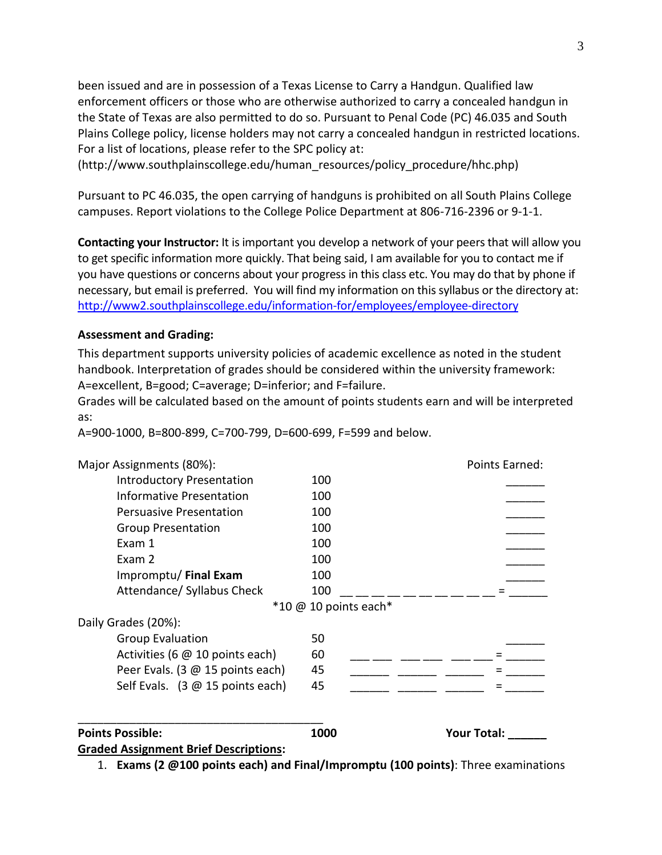been issued and are in possession of a Texas License to Carry a Handgun. Qualified law enforcement officers or those who are otherwise authorized to carry a concealed handgun in the State of Texas are also permitted to do so. Pursuant to Penal Code (PC) 46.035 and South Plains College policy, license holders may not carry a concealed handgun in restricted locations. For a list of locations, please refer to the SPC policy at:

(http://www.southplainscollege.edu/human\_resources/policy\_procedure/hhc.php)

Pursuant to PC 46.035, the open carrying of handguns is prohibited on all South Plains College campuses. Report violations to the College Police Department at 806-716-2396 or 9-1-1.

**Contacting your Instructor:** It is important you develop a network of your peers that will allow you to get specific information more quickly. That being said, I am available for you to contact me if you have questions or concerns about your progress in this class etc. You may do that by phone if necessary, but email is preferred. You will find my information on this syllabus or the directory at: <http://www2.southplainscollege.edu/information-for/employees/employee-directory>

### **Assessment and Grading:**

This department supports university policies of academic excellence as noted in the student handbook. Interpretation of grades should be considered within the university framework: A=excellent, B=good; C=average; D=inferior; and F=failure.

Grades will be calculated based on the amount of points students earn and will be interpreted as:

A=900-1000, B=800-899, C=700-799, D=600-699, F=599 and below.

| Major Assignments (80%):                         |                                                | Points Earned:     |
|--------------------------------------------------|------------------------------------------------|--------------------|
| <b>Introductory Presentation</b>                 | 100                                            |                    |
| Informative Presentation                         | 100                                            |                    |
| <b>Persuasive Presentation</b>                   | 100                                            |                    |
| <b>Group Presentation</b>                        | 100                                            |                    |
| Exam 1                                           | 100                                            |                    |
| Exam 2                                           | 100                                            |                    |
| Impromptu/ Final Exam                            | 100                                            |                    |
| Attendance/ Syllabus Check                       | 100                                            |                    |
|                                                  | $*10 \text{ } \textcircled{a} 10$ points each* |                    |
| Daily Grades (20%):                              |                                                |                    |
| <b>Group Evaluation</b>                          | 50                                             |                    |
| Activities (6 @ 10 points each)                  | 60                                             |                    |
| Peer Evals. (3 @ 15 points each)                 | 45                                             |                    |
| Self Evals. $(3 \oslash 15 \text{ points each})$ | 45                                             |                    |
|                                                  |                                                |                    |
| <b>Points Possible:</b>                          | 1000                                           | <b>Your Total:</b> |
| <b>Graded Assignment Brief Descriptions:</b>     |                                                |                    |

1. **Exams (2 @100 points each) and Final/Impromptu (100 points)**: Three examinations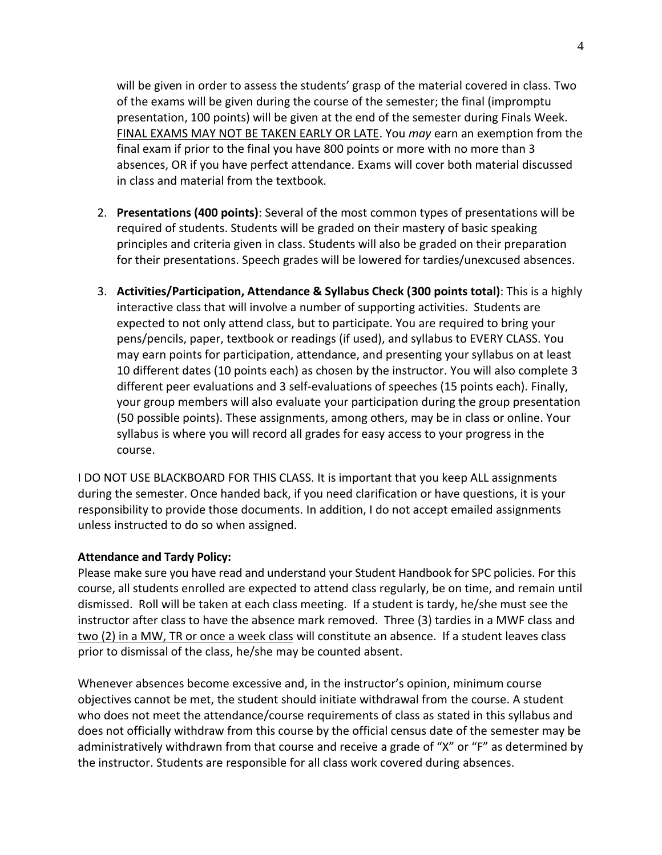will be given in order to assess the students' grasp of the material covered in class. Two of the exams will be given during the course of the semester; the final (impromptu presentation, 100 points) will be given at the end of the semester during Finals Week. FINAL EXAMS MAY NOT BE TAKEN EARLY OR LATE. You *may* earn an exemption from the final exam if prior to the final you have 800 points or more with no more than 3 absences, OR if you have perfect attendance. Exams will cover both material discussed in class and material from the textbook.

- 2. **Presentations (400 points)**: Several of the most common types of presentations will be required of students. Students will be graded on their mastery of basic speaking principles and criteria given in class. Students will also be graded on their preparation for their presentations. Speech grades will be lowered for tardies/unexcused absences.
- 3. **Activities/Participation, Attendance & Syllabus Check (300 points total)**: This is a highly interactive class that will involve a number of supporting activities. Students are expected to not only attend class, but to participate. You are required to bring your pens/pencils, paper, textbook or readings (if used), and syllabus to EVERY CLASS. You may earn points for participation, attendance, and presenting your syllabus on at least 10 different dates (10 points each) as chosen by the instructor. You will also complete 3 different peer evaluations and 3 self-evaluations of speeches (15 points each). Finally, your group members will also evaluate your participation during the group presentation (50 possible points). These assignments, among others, may be in class or online. Your syllabus is where you will record all grades for easy access to your progress in the course.

I DO NOT USE BLACKBOARD FOR THIS CLASS. It is important that you keep ALL assignments during the semester. Once handed back, if you need clarification or have questions, it is your responsibility to provide those documents. In addition, I do not accept emailed assignments unless instructed to do so when assigned.

## **Attendance and Tardy Policy:**

Please make sure you have read and understand your Student Handbook for SPC policies. For this course, all students enrolled are expected to attend class regularly, be on time, and remain until dismissed. Roll will be taken at each class meeting. If a student is tardy, he/she must see the instructor after class to have the absence mark removed. Three (3) tardies in a MWF class and two (2) in a MW, TR or once a week class will constitute an absence. If a student leaves class prior to dismissal of the class, he/she may be counted absent.

Whenever absences become excessive and, in the instructor's opinion, minimum course objectives cannot be met, the student should initiate withdrawal from the course. A student who does not meet the attendance/course requirements of class as stated in this syllabus and does not officially withdraw from this course by the official census date of the semester may be administratively withdrawn from that course and receive a grade of "X" or "F" as determined by the instructor. Students are responsible for all class work covered during absences.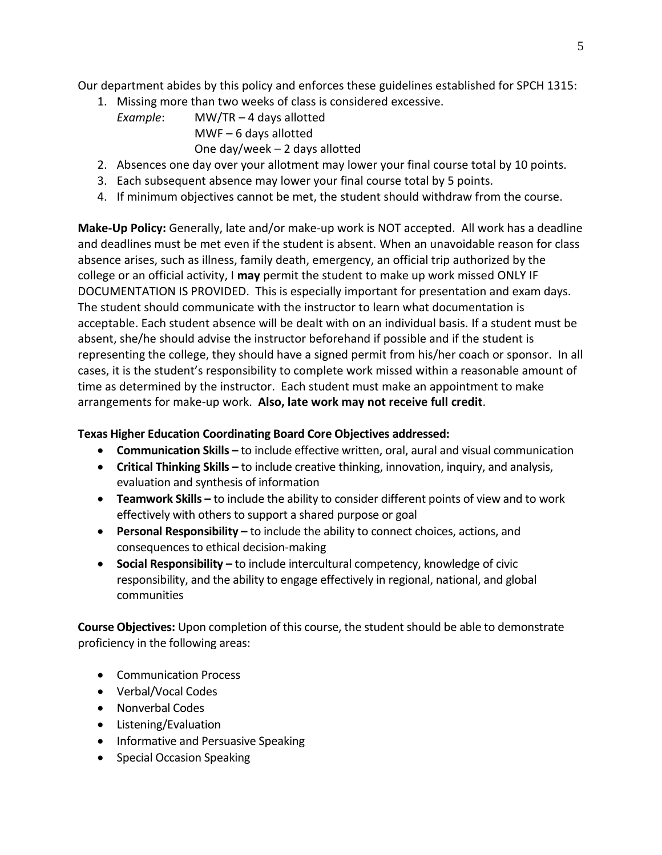Our department abides by this policy and enforces these guidelines established for SPCH 1315:

- 1. Missing more than two weeks of class is considered excessive.
	- *Example*: MW/TR 4 days allotted MWF – 6 days allotted One day/week – 2 days allotted
- 2. Absences one day over your allotment may lower your final course total by 10 points.
- 3. Each subsequent absence may lower your final course total by 5 points.
- 4. If minimum objectives cannot be met, the student should withdraw from the course.

**Make-Up Policy:** Generally, late and/or make-up work is NOT accepted. All work has a deadline and deadlines must be met even if the student is absent. When an unavoidable reason for class absence arises, such as illness, family death, emergency, an official trip authorized by the college or an official activity, I **may** permit the student to make up work missed ONLY IF DOCUMENTATION IS PROVIDED. This is especially important for presentation and exam days. The student should communicate with the instructor to learn what documentation is acceptable. Each student absence will be dealt with on an individual basis. If a student must be absent, she/he should advise the instructor beforehand if possible and if the student is representing the college, they should have a signed permit from his/her coach or sponsor. In all cases, it is the student's responsibility to complete work missed within a reasonable amount of time as determined by the instructor. Each student must make an appointment to make arrangements for make-up work. **Also, late work may not receive full credit**.

## **Texas Higher Education Coordinating Board Core Objectives addressed:**

- **Communication Skills –** to include effective written, oral, aural and visual communication
- **Critical Thinking Skills –** to include creative thinking, innovation, inquiry, and analysis, evaluation and synthesis of information
- **Teamwork Skills –** to include the ability to consider different points of view and to work effectively with others to support a shared purpose or goal
- **Personal Responsibility –** to include the ability to connect choices, actions, and consequences to ethical decision-making
- **Social Responsibility –** to include intercultural competency, knowledge of civic responsibility, and the ability to engage effectively in regional, national, and global communities

**Course Objectives:** Upon completion of this course, the student should be able to demonstrate proficiency in the following areas:

- Communication Process
- Verbal/Vocal Codes
- Nonverbal Codes
- Listening/Evaluation
- Informative and Persuasive Speaking
- Special Occasion Speaking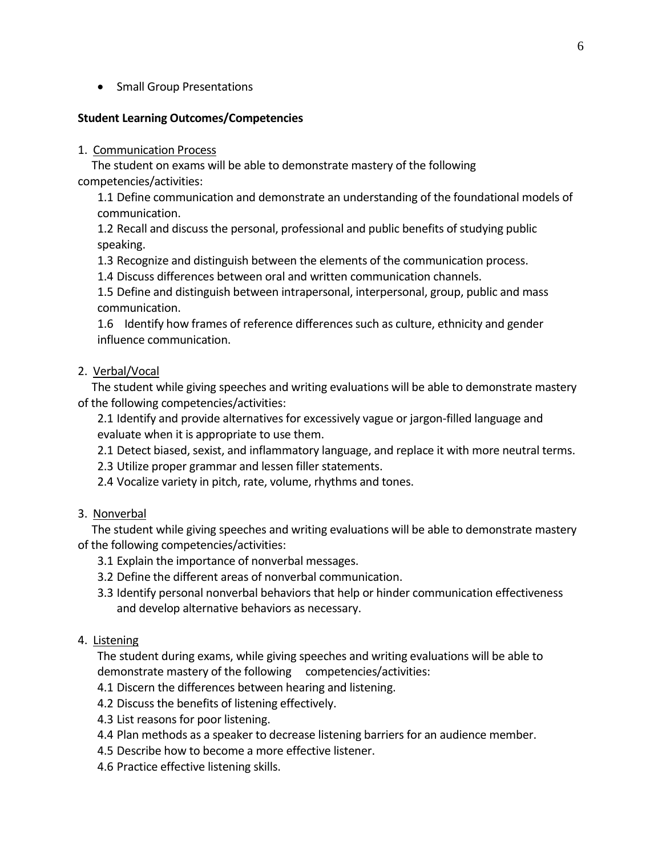• Small Group Presentations

## **Student Learning Outcomes/Competencies**

#### 1. Communication Process

 The student on exams will be able to demonstrate mastery of the following competencies/activities:

1.1 Define communication and demonstrate an understanding of the foundational models of communication.

1.2 Recall and discuss the personal, professional and public benefits of studying public speaking.

1.3 Recognize and distinguish between the elements of the communication process.

1.4 Discuss differences between oral and written communication channels.

1.5 Define and distinguish between intrapersonal, interpersonal, group, public and mass communication.

1.6 Identify how frames of reference differences such as culture, ethnicity and gender influence communication.

### 2. Verbal/Vocal

 The student while giving speeches and writing evaluations will be able to demonstrate mastery of the following competencies/activities:

2.1 Identify and provide alternatives for excessively vague or jargon-filled language and evaluate when it is appropriate to use them.

2.1 Detect biased, sexist, and inflammatory language, and replace it with more neutral terms.

2.3 Utilize proper grammar and lessen filler statements.

2.4 Vocalize variety in pitch, rate, volume, rhythms and tones.

#### 3. Nonverbal

 The student while giving speeches and writing evaluations will be able to demonstrate mastery of the following competencies/activities:

- 3.1 Explain the importance of nonverbal messages.
- 3.2 Define the different areas of nonverbal communication.
- 3.3 Identify personal nonverbal behaviors that help or hinder communication effectiveness and develop alternative behaviors as necessary.

#### 4. Listening

The student during exams, while giving speeches and writing evaluations will be able to demonstrate mastery of the following competencies/activities:

- 4.1 Discern the differences between hearing and listening.
- 4.2 Discuss the benefits of listening effectively.
- 4.3 List reasons for poor listening.
- 4.4 Plan methods as a speaker to decrease listening barriers for an audience member.
- 4.5 Describe how to become a more effective listener.
- 4.6 Practice effective listening skills.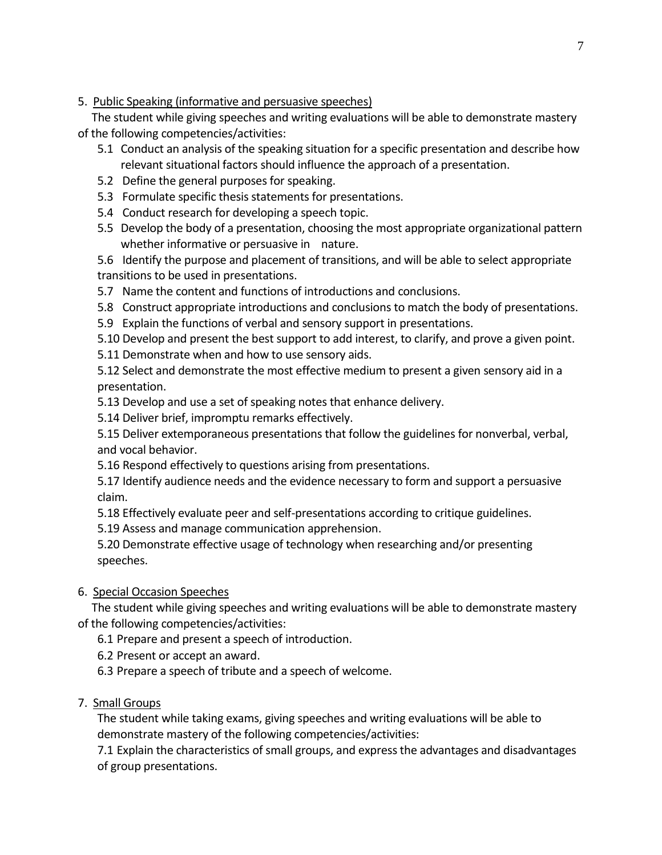5. Public Speaking (informative and persuasive speeches)

 The student while giving speeches and writing evaluations will be able to demonstrate mastery of the following competencies/activities:

- 5.1 Conduct an analysis of the speaking situation for a specific presentation and describe how relevant situational factors should influence the approach of a presentation.
- 5.2 Define the general purposes for speaking.
- 5.3 Formulate specific thesis statements for presentations.
- 5.4 Conduct research for developing a speech topic.
- 5.5 Develop the body of a presentation, choosing the most appropriate organizational pattern whether informative or persuasive in nature.
- 5.6 Identify the purpose and placement of transitions, and will be able to select appropriate transitions to be used in presentations.
- 5.7 Name the content and functions of introductions and conclusions.
- 5.8 Construct appropriate introductions and conclusions to match the body of presentations.
- 5.9 Explain the functions of verbal and sensory support in presentations.
- 5.10 Develop and present the best support to add interest, to clarify, and prove a given point.
- 5.11 Demonstrate when and how to use sensory aids.

5.12 Select and demonstrate the most effective medium to present a given sensory aid in a presentation.

- 5.13 Develop and use a set of speaking notes that enhance delivery.
- 5.14 Deliver brief, impromptu remarks effectively.

5.15 Deliver extemporaneous presentations that follow the guidelines for nonverbal, verbal, and vocal behavior.

- 5.16 Respond effectively to questions arising from presentations.
- 5.17 Identify audience needs and the evidence necessary to form and support a persuasive claim.
- 5.18 Effectively evaluate peer and self-presentations according to critique guidelines.
- 5.19 Assess and manage communication apprehension.

5.20 Demonstrate effective usage of technology when researching and/or presenting speeches.

## 6. Special Occasion Speeches

 The student while giving speeches and writing evaluations will be able to demonstrate mastery of the following competencies/activities:

6.1 Prepare and present a speech of introduction.

- 6.2 Present or accept an award.
- 6.3 Prepare a speech of tribute and a speech of welcome.

# 7. Small Groups

The student while taking exams, giving speeches and writing evaluations will be able to demonstrate mastery of the following competencies/activities:

7.1 Explain the characteristics of small groups, and express the advantages and disadvantages of group presentations.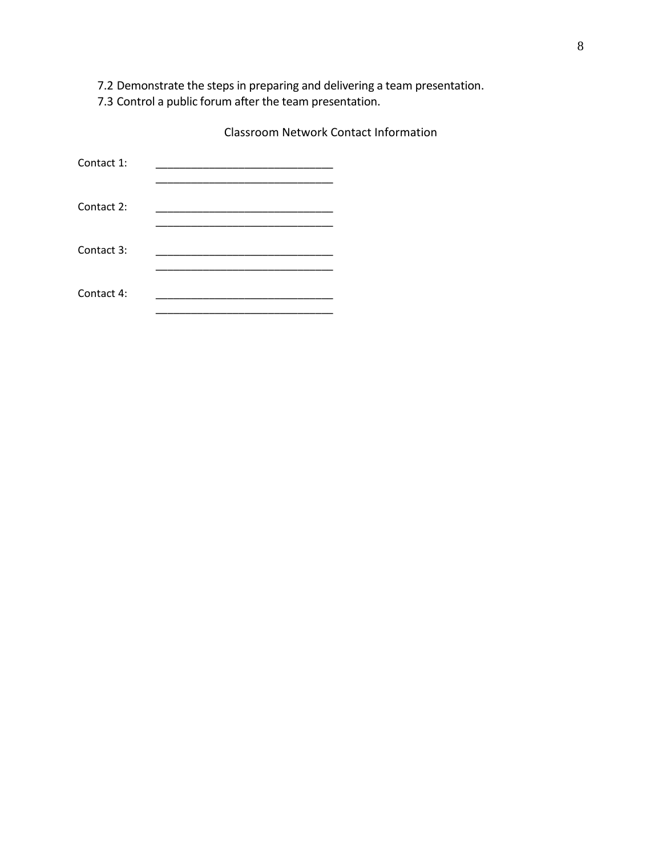7.2 Demonstrate the steps in preparing and delivering a team presentation.

7.3 Control a public forum after the team presentation.

Classroom Network Contact Information

| Contact 1: |  |
|------------|--|
| Contact 2: |  |
| Contact 3: |  |
| Contact 4: |  |